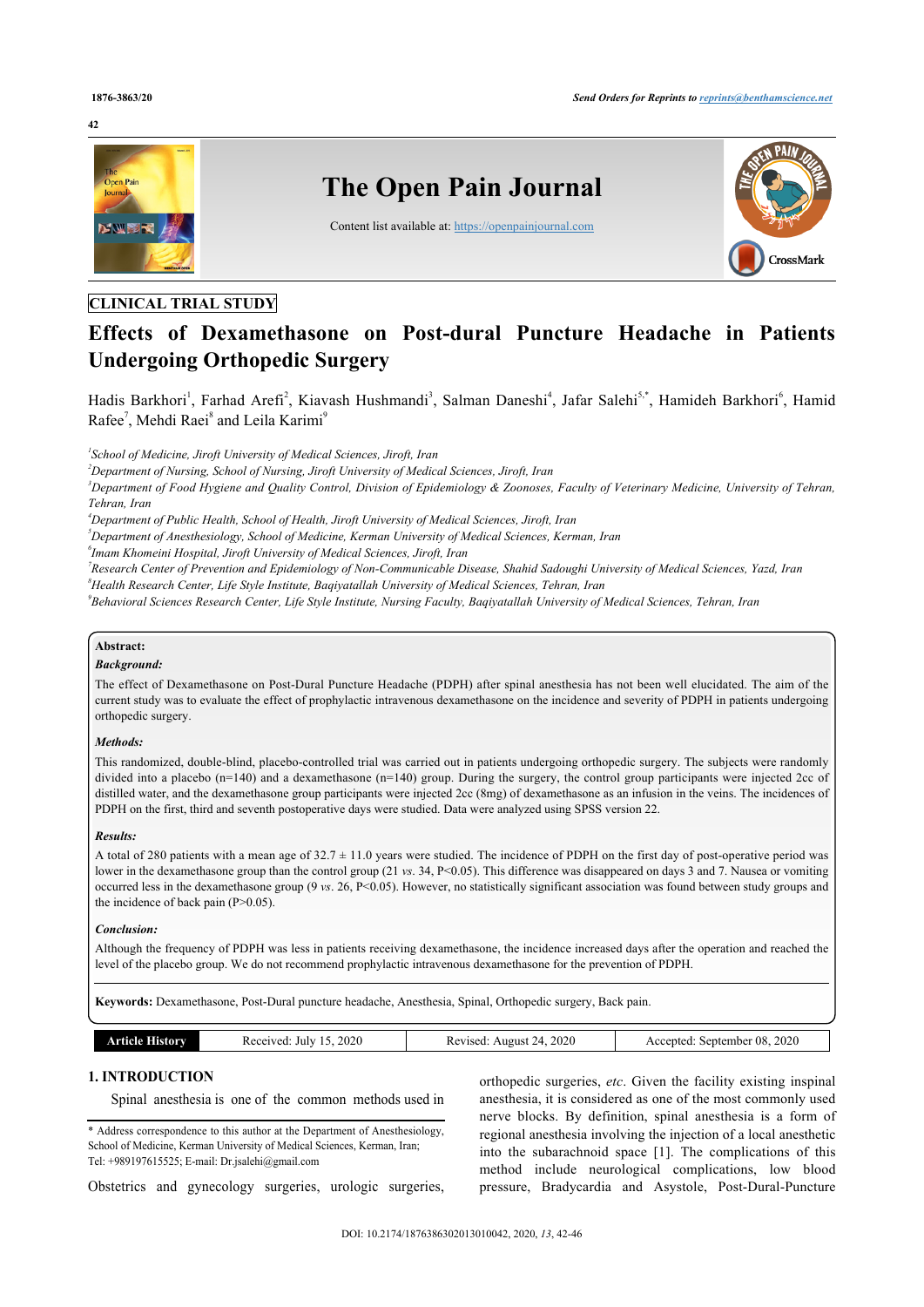

# **CLINICAL TRIAL STUDY**

# **Effects of Dexamethasone on Post-dural Puncture Headache in Patients Undergoing Orthopedic Surgery**

Hadis Barkhori<sup>[1](#page--1-0)</sup>, Farhad Arefi<sup>[2](#page--1-0)</sup>, Kiavash Hushmandi<sup>[3](#page--1-0)</sup>, Salman Daneshi<sup>[4](#page--1-0)</sup>, Jafar Salehi<sup>[5](#page--1-0),[\\*](#page--1-0)</sup>, Hamideh Barkhori<sup>[6](#page--1-0)</sup>, Hamid Rafee<sup>[7](#page--1-0)</sup>, Mehdi Raei<sup>[8](#page--1-0)</sup> and Leila Karimi<sup>[9](#page--1-0)</sup>

*1 School of Medicine, Jiroft University of Medical Sciences, Jiroft, Iran*

*<sup>2</sup>Department of Nursing, School of Nursing, Jiroft University of Medical Sciences, Jiroft, Iran*

*<sup>3</sup>Department of Food Hygiene and Quality Control, Division of Epidemiology & Zoonoses, Faculty of Veterinary Medicine, University of Tehran, Tehran, Iran*

*<sup>4</sup>Department of Public Health, School of Health, Jiroft University of Medical Sciences, Jiroft, Iran*

*<sup>5</sup>Department of Anesthesiology, School of Medicine, Kerman University of Medical Sciences, Kerman, Iran*

*6 Imam Khomeini Hospital, Jiroft University of Medical Sciences, Jiroft, Iran*

*7 Research Center of Prevention and Epidemiology of Non-Communicable Disease, Shahid Sadoughi University of Medical Sciences, Yazd, Iran <sup>8</sup>Health Research Center, Life Style Institute, Baqiyatallah University of Medical Sciences, Tehran, Iran*

*9 Behavioral Sciences Research Center, Life Style Institute, Nursing Faculty, Baqiyatallah University of Medical Sciences, Tehran, Iran*

## **Abstract:**

#### *Background:*

The effect of Dexamethasone on Post-Dural Puncture Headache (PDPH) after spinal anesthesia has not been well elucidated. The aim of the current study was to evaluate the effect of prophylactic intravenous dexamethasone on the incidence and severity of PDPH in patients undergoing orthopedic surgery.

#### *Methods:*

This randomized, double-blind, placebo-controlled trial was carried out in patients undergoing orthopedic surgery. The subjects were randomly divided into a placebo (n=140) and a dexamethasone (n=140) group. During the surgery, the control group participants were injected 2cc of distilled water, and the dexamethasone group participants were injected 2cc (8mg) of dexamethasone as an infusion in the veins. The incidences of PDPH on the first, third and seventh postoperative days were studied. Data were analyzed using SPSS version 22.

#### *Results:*

A total of 280 patients with a mean age of  $32.7 \pm 11.0$  years were studied. The incidence of PDPH on the first day of post-operative period was lower in the dexamethasone group than the control group (21 *vs*. 34, P<0.05). This difference was disappeared on days 3 and 7. Nausea or vomiting occurred less in the dexamethasone group (9 *vs*. 26, P<0.05). However, no statistically significant association was found between study groups and the incidence of back pain  $(P>0.05)$ .

#### *Conclusion:*

Although the frequency of PDPH was less in patients receiving dexamethasone, the incidence increased days after the operation and reached the level of the placebo group. We do not recommend prophylactic intravenous dexamethasone for the prevention of PDPH.

**Keywords:** Dexamethasone, Post-Dural puncture headache, Anesthesia, Spinal, Orthopedic surgery, Back pain.

| ACC.<br>n c<br>$-1$<br>$\sim$ | History<br>°N O LA | 2020<br>Received<br>July<br>. . | 2020<br>evised<br>August | 2020<br>08<br>september<br>ccented |
|-------------------------------|--------------------|---------------------------------|--------------------------|------------------------------------|
|-------------------------------|--------------------|---------------------------------|--------------------------|------------------------------------|

# **1. INTRODUCTION**

Spinal anesthesia is one of the common methods used in

\* Address correspondence to this author at the Department of Anesthesiology, School of Medicine, Kerman University of Medical Sciences, Kerman, Iran; Tel: +989197615525; E-mail: [Dr.jsalehi@gmail.com](mailto:Dr.jsalehi@gmail.com)

Obstetrics and gynecology surgeries, urologic surgeries,

orthopedic surgeries, *etc*. Given the facility existing inspinal anesthesia, it is considered as one of the most commonly used nerve blocks. By definition, spinal anesthesia is a form of regional anesthesia involving the injection of a local anesthetic into the subarachnoid space [\[1](#page--1-0)]. The complications of this method include neurological complications, low blood pressure, Bradycardia and Asystole, Post-Dural-Puncture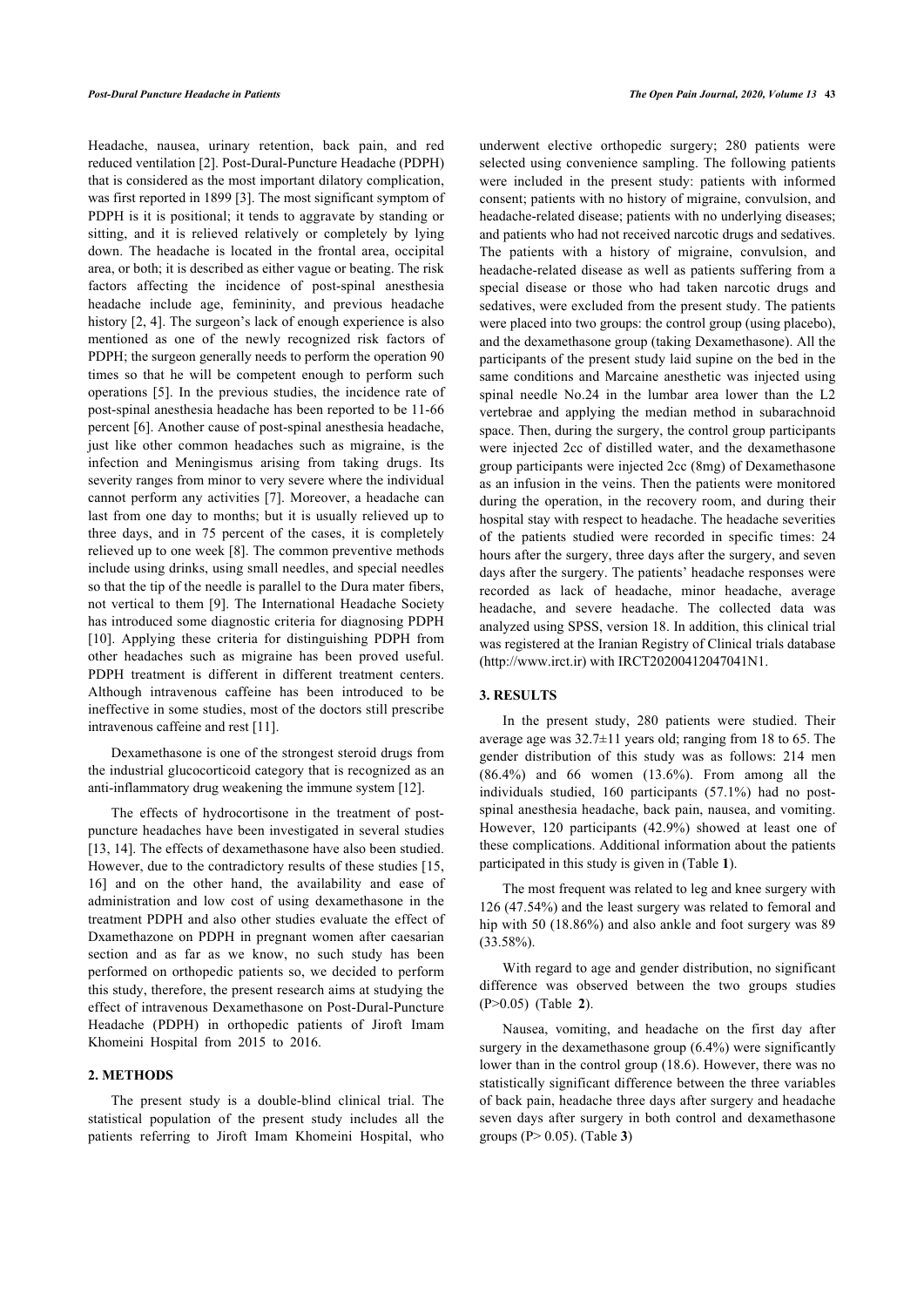Headache, nausea, urinary retention, back pain, and red reduced ventilation [\[2\]](#page--1-0). Post-Dural-Puncture Headache (PDPH) that is considered as the most important dilatory complication, was first reported in 1899 [[3](#page--1-0)]. The most significant symptom of PDPH is it is positional; it tends to aggravate by standing or sitting, and it is relieved relatively or completely by lying down. The headache is located in the frontal area, occipital area, or both; it is described as either vague or beating. The risk factors affecting the incidence of post-spinal anesthesia headache include age, femininity, and previous headache history [[2](#page--1-0), [4\]](#page--1-0). The surgeon's lack of enough experience is also mentioned as one of the newly recognized risk factors of PDPH; the surgeon generally needs to perform the operation 90 times so that he will be competent enough to perform such operations [[5](#page--1-0)]. In the previous studies, the incidence rate of post-spinal anesthesia headache has been reported to be 11-66 percent [\[6\]](#page--1-0). Another cause of post-spinal anesthesia headache, just like other common headaches such as migraine, is the infection and Meningismus arising from taking drugs. Its severity ranges from minor to very severe where the individual cannot perform any activities [[7](#page--1-0)]. Moreover, a headache can last from one day to months; but it is usually relieved up to three days, and in 75 percent of the cases, it is completely relieved up to one week [[8](#page--1-0)]. The common preventive methods include using drinks, using small needles, and special needles so that the tip of the needle is parallel to the Dura mater fibers, not vertical to them [[9](#page--1-0)]. The International Headache Society has introduced some diagnostic criteria for diagnosing PDPH [[10\]](#page--1-0). Applying these criteria for distinguishing PDPH from other headaches such as migraine has been proved useful. PDPH treatment is different in different treatment centers. Although intravenous caffeine has been introduced to be ineffective in some studies, most of the doctors still prescribe intravenous caffeine and rest [[11\]](#page--1-0).

Dexamethasone is one of the strongest steroid drugs from the industrial glucocorticoid category that is recognized as an anti-inflammatory drug weakening the immune system [[12\]](#page--1-0).

The effects of hydrocortisone in the treatment of postpuncture headaches have been investigated in several studies [[13, 14\]](#page--1-0). The effects of dexamethasone have also been studied. However, due to the contradictory results of these studies [[15](#page--1-0), [16\]](#page--1-0) and on the other hand, the availability and ease of administration and low cost of using dexamethasone in the treatment PDPH and also other studies evaluate the effect of Dxamethazone on PDPH in pregnant women after caesarian section and as far as we know, no such study has been performed on orthopedic patients so, we decided to perform this study, therefore, the present research aims at studying the effect of intravenous Dexamethasone on Post-Dural-Puncture Headache (PDPH) in orthopedic patients of Jiroft Imam Khomeini Hospital from 2015 to 2016.

#### **2. METHODS**

The present study is a double-blind clinical trial. The statistical population of the present study includes all the patients referring to Jiroft Imam Khomeini Hospital, who underwent elective orthopedic surgery; 280 patients were selected using convenience sampling. The following patients were included in the present study: patients with informed consent; patients with no history of migraine, convulsion, and headache-related disease; patients with no underlying diseases; and patients who had not received narcotic drugs and sedatives. The patients with a history of migraine, convulsion, and headache-related disease as well as patients suffering from a special disease or those who had taken narcotic drugs and sedatives, were excluded from the present study. The patients were placed into two groups: the control group (using placebo), and the dexamethasone group (taking Dexamethasone). All the participants of the present study laid supine on the bed in the same conditions and Marcaine anesthetic was injected using spinal needle No.24 in the lumbar area lower than the L2 vertebrae and applying the median method in subarachnoid space. Then, during the surgery, the control group participants were injected 2cc of distilled water, and the dexamethasone group participants were injected 2cc (8mg) of Dexamethasone as an infusion in the veins. Then the patients were monitored during the operation, in the recovery room, and during their hospital stay with respect to headache. The headache severities of the patients studied were recorded in specific times: 24 hours after the surgery, three days after the surgery, and seven days after the surgery. The patients' headache responses were recorded as lack of headache, minor headache, average headache, and severe headache. The collected data was analyzed using SPSS, version 18. In addition, this clinical trial was registered at the Iranian Registry of Clinical trials database ([http://www.irct.ir\)](http://www.irct.ir) with IRCT20200412047041N1.

#### **3. RESULTS**

In the present study, 280 patients were studied. Their average age was 32.7±11 years old; ranging from 18 to 65. The gender distribution of this study was as follows: 214 men  $(86.4\%)$  and 66 women  $(13.6\%)$ . From among all the individuals studied, 160 participants (57.1%) had no postspinal anesthesia headache, back pain, nausea, and vomiting. However, 120 participants (42.9%) showed at least one of these complications. Additional information about the patients participated in this study is given in (Table **[1](#page--1-0)**).

The most frequent was related to leg and knee surgery with 126 (47.54%) and the least surgery was related to femoral and hip with 50 (18.86%) and also ankle and foot surgery was 89 (33.58%).

With regard to age and gender distribution, no significant difference was [ob](#page--1-0)served between the two groups studies (P>0.05) (Table **2**).

Nausea, vomiting, and headache on the first day after surgery in the dexamethasone group  $(6.4\%)$  were significantly lower than in the control group (18.6). However, there was no statistically significant difference between the three variables of back pain, headache three days after surgery and headache seven days after surger[y](#page--1-0) in both control and dexamethasone groups (P> 0.05). (Table **3**)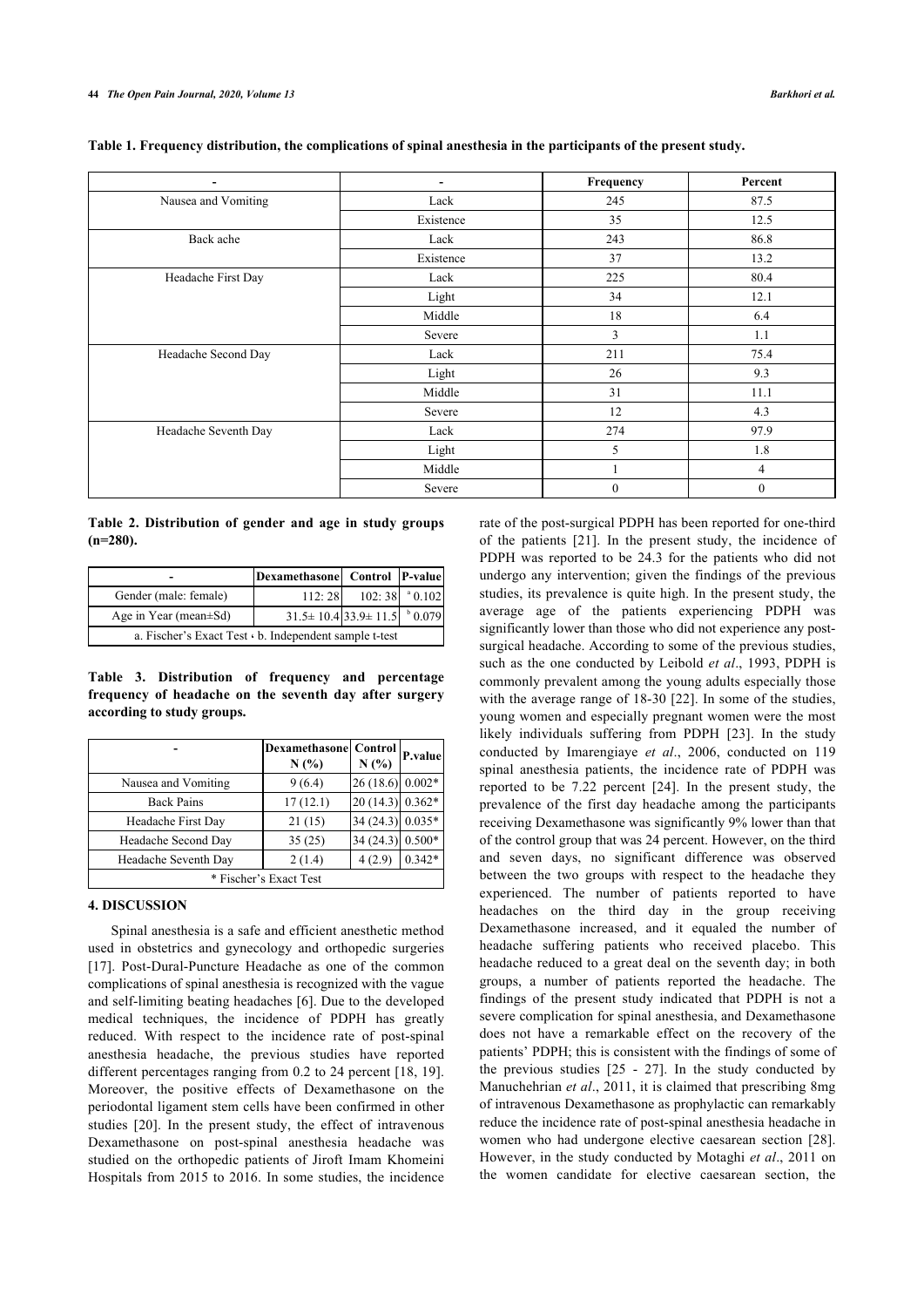|                     |           | Frequency | Percent |
|---------------------|-----------|-----------|---------|
| Nausea and Vomiting | Lack      | 245       | 87.5    |
|                     | Existence | 35        | 12.5    |
| Back ache           | Lack      | 243       | 86.8    |
|                     | Existence | 37        | 13.2    |
| Headache First Day  | Lack      | 225       | 80.4    |
|                     | Light     | 34        | 12.1    |
|                     | Middle    | 18        | 6.4     |
|                     | Severe    |           | 1.1     |

Headache Second Day Lack 211 211 75.4

Headache Seventh Day Lack 274 97.9

Light 19.3 Middle 11.1 Severe 12 4.3

Light  $5$  1.8 Middle 1 1 4 Severe 0 0 0 0

**Table 1. Frequency distribution, the complications of spinal anesthesia in the participants of the present study.**

**Table 2. Distribution of gender and age in study groups (n=280).**

|                                                        | Dexamethasone Control P-value                      |                             |  |  |  |
|--------------------------------------------------------|----------------------------------------------------|-----------------------------|--|--|--|
| Gender (male: female)                                  | 112:28                                             | $102:38$ <sup>a</sup> 0.102 |  |  |  |
| Age in Year (mean $\pm$ Sd)                            | $31.5 \pm 10.4$ 33.9 $\pm 11.5$ $\frac{60.079}{ }$ |                             |  |  |  |
| a. Fischer's Exact Test · b. Independent sample t-test |                                                    |                             |  |  |  |

**Table 3. Distribution of frequency and percentage frequency of headache on the seventh day after surgery according to study groups.**

|                        | <b>Dexamethasone</b> Control<br>N(%) | N(%)               | P.value  |  |  |
|------------------------|--------------------------------------|--------------------|----------|--|--|
| Nausea and Vomiting    | 9(6.4)                               | $26(18.6)$ 0.002*  |          |  |  |
| <b>Back Pains</b>      | 17(12.1)                             | $20(14.3)$ 0.362*  |          |  |  |
| Headache First Day     | 21(15)                               | 34 (24.3) 0.035*   |          |  |  |
| Headache Second Day    | 35(25)                               | 34 (24.3) $0.500*$ |          |  |  |
| Headache Seventh Day   | 2(1.4)                               | 4(2.9)             | $0.342*$ |  |  |
| * Fischer's Exact Test |                                      |                    |          |  |  |

# **4. DISCUSSION**

Spinal anesthesia is a safe and efficient anesthetic method used in obstetrics and gynecology and orthopedic surgeries [[17\]](#page--1-0). Post-Dural-Puncture Headache as one of the common complications of spinal anesthesia is recognized with the vague and self-limiting beating headaches [\[6\]](#page--1-0). Due to the developed medical techniques, the incidence of PDPH has greatly reduced. With respect to the incidence rate of post-spinal anesthesia headache, the previous studies have reported different percentages ranging from 0.2 to 24 percent [[18,](#page--1-0) [19\]](#page--1-0). Moreover, the positive effects of Dexamethasone on the periodontal ligament stem cells have been confirmed in other studies [\[20\]](#page--1-0). In the present study, the effect of intravenous Dexamethasone on post-spinal anesthesia headache was studied on the orthopedic patients of Jiroft Imam Khomeini Hospitals from 2015 to 2016. In some studies, the incidence

rate of the post-surgical PDPH has been reported for one-third of the patients [\[21\]](#page--1-0). In the present study, the incidence of PDPH was reported to be 24.3 for the patients who did not undergo any intervention; given the findings of the previous studies, its prevalence is quite high. In the present study, the average age of the patients experiencing PDPH was significantly lower than those who did not experience any postsurgical headache. According to some of the previous studies, such as the one conducted by Leibold *et al*., 1993, PDPH is commonly prevalent among the young adults especially those with the average range of 18-30 [\[22\]](#page--1-0). In some of the studies, young women and especially pregnant women were the most likely individuals suffering from PDPH[[23\]](#page--1-0). In the study conducted by Imarengiaye *et al*., 2006, conducted on 119 spinal anesthesia patients, the incidence rate of PDPH was reported to be 7.22 percent [\[24\]](#page--1-0). In the present study, the prevalence of the first day headache among the participants receiving Dexamethasone was significantly 9% lower than that of the control group that was 24 percent. However, on the third and seven days, no significant difference was observed between the two groups with respect to the headache they experienced. The number of patients reported to have headaches on the third day in the group receiving Dexamethasone increased, and it equaled the number of headache suffering patients who received placebo. This headache reduced to a great deal on the seventh day; in both groups, a number of patients reported the headache. The findings of the present study indicated that PDPH is not a severe complication for spinal anesthesia, and Dexamethasone does not have a remarkable effect on the recovery of the patients' PDPH; this is consistent with the findings of some of the previous studies  $[25 - 27]$  $[25 - 27]$ . In the study conducted by Manuchehrian *et al*., 2011, it is claimed that prescribing 8mg of intravenous Dexamethasone as prophylactic can remarkably reduce the incidence rate of post-spinal anesthesia headache in women who had undergone elective caesarean section[[28](#page--1-0)]. However, in the study conducted by Motaghi *et al*., 2011 on the women candidate for elective caesarean section, the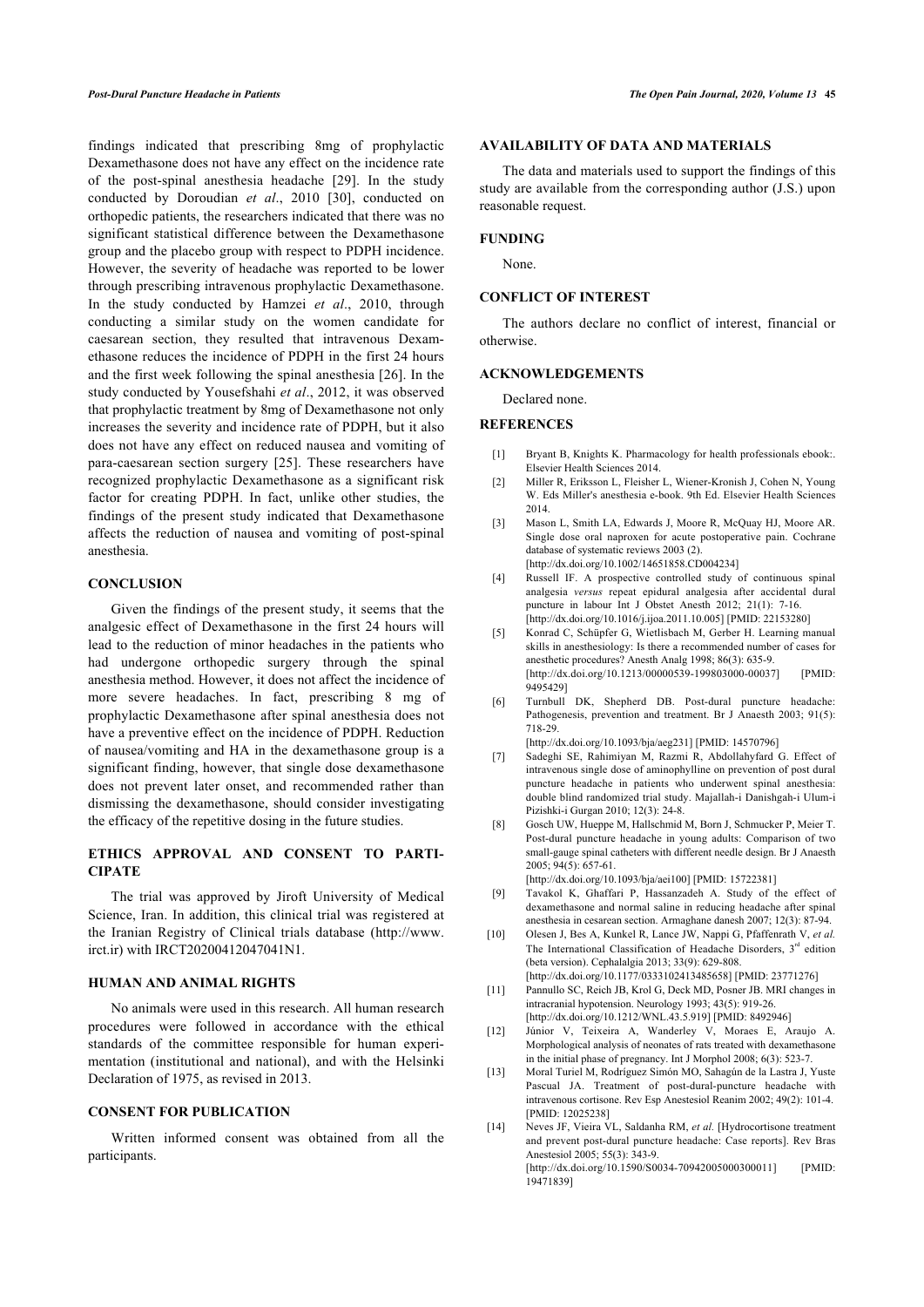findings indicated that prescribing 8mg of prophylactic Dexamethasone does not have any effect on the incidence rate of the post-spinal anesthesia headache [\[29\]](#page--1-0). In the study conducted by Doroudian *et al*., 2010 [\[30\]](#page--1-0), conducted on orthopedic patients, the researchers indicated that there was no significant statistical difference between the Dexamethasone group and the placebo group with respect to PDPH incidence. However, the severity of headache was reported to be lower through prescribing intravenous prophylactic Dexamethasone. In the study conducted by Hamzei *et al*., 2010, through conducting a similar study on the women candidate for caesarean section, they resulted that intravenous Dexamethasone reduces the incidence of PDPH in the first 24 hours and the first week following the spinal anesthesia [\[26\]](#page--1-0). In the study conducted by Yousefshahi *et al*., 2012, it was observed that prophylactic treatment by 8mg of Dexamethasone not only increases the severity and incidence rate of PDPH, but it also does not have any effect on reduced nausea and vomiting of para-caesarean section surgery[[25\]](#page--1-0). These researchers have recognized prophylactic Dexamethasone as a significant risk factor for creating PDPH. In fact, unlike other studies, the findings of the present study indicated that Dexamethasone affects the reduction of nausea and vomiting of post-spinal anesthesia.

# **CONCLUSION**

Given the findings of the present study, it seems that the analgesic effect of Dexamethasone in the first 24 hours will lead to the reduction of minor headaches in the patients who had undergone orthopedic surgery through the spinal anesthesia method. However, it does not affect the incidence of more severe headaches. In fact, prescribing 8 mg of prophylactic Dexamethasone after spinal anesthesia does not have a preventive effect on the incidence of PDPH. Reduction of nausea/vomiting and HA in the dexamethasone group is a significant finding, however, that single dose dexamethasone does not prevent later onset, and recommended rather than dismissing the dexamethasone, should consider investigating the efficacy of the repetitive dosing in the future studies.

# **ETHICS APPROVAL AND CONSENT TO PARTI-CIPATE**

The trial was approved by Jiroft University of Medical Science, Iran. In addition, this clinical trial was registered at the Iranian Registry of Clinical trials database([http://www.](http://www.irct.ir) [irct.ir](http://www.irct.ir)) with IRCT20200412047041N1.

#### **HUMAN AND ANIMAL RIGHTS**

No animals were used in this research. All human research procedures were followed in accordance with the ethical standards of the committee responsible for human experimentation (institutional and national), and with the Helsinki Declaration of 1975, as revised in 2013.

# **CONSENT FOR PUBLICATION**

Written informed consent was obtained from all the participants.

## **AVAILABILITY OF DATA AND MATERIALS**

The data and materials used to support the findings of this study are available from the corresponding author (J.S.) upon reasonable request.

#### **FUNDING**

None.

# **CONFLICT OF INTEREST**

The authors declare no conflict of interest, financial or otherwise.

## **ACKNOWLEDGEMENTS**

Declared none.

#### **REFERENCES**

- [1] Bryant B, Knights K. Pharmacology for health professionals ebook:. Elsevier Health Sciences 2014.
- [2] Miller R, Eriksson L, Fleisher L, Wiener-Kronish J, Cohen N, Young W. Eds Miller's anesthesia e-book. 9th Ed. Elsevier Health Sciences 2014.
- [3] Mason L, Smith LA, Edwards J, Moore R, McQuay HJ, Moore AR. Single dose oral naproxen for acute postoperative pain. Cochrane database of systematic reviews 2003 (2). [\[http://dx.doi.org/10.1002/14651858.CD004234\]](http://dx.doi.org/10.1002/14651858.CD004234)
- [4] Russell IF. A prospective controlled study of continuous spinal analgesia *versus* repeat epidural analgesia after accidental dural puncture in labour Int J Obstet Anesth 2012; 21(1): 7-16.
- [\[http://dx.doi.org/10.1016/j.ijoa.2011.10.005](http://dx.doi.org/10.1016/j.ijoa.2011.10.005)] [PMID: [22153280](http://www.ncbi.nlm.nih.gov/pubmed/22153280)] [5] Konrad C, Schüpfer G, Wietlisbach M, Gerber H. Learning manual skills in anesthesiology: Is there a recommended number of cases for anesthetic procedures? Anesth Analg 1998; 86(3): 635-9. [\[http://dx.doi.org/10.1213/00000539-199803000-00037](http://dx.doi.org/10.1213/00000539-199803000-00037)] [PMID: [9495429](http://www.ncbi.nlm.nih.gov/pubmed/9495429)]
- [6] Turnbull DK, Shepherd DB. Post-dural puncture headache: Pathogenesis, prevention and treatment. Br J Anaesth 2003; 91(5): 718-29.

[\[http://dx.doi.org/10.1093/bja/aeg231](http://dx.doi.org/10.1093/bja/aeg231)] [PMID: [14570796\]](http://www.ncbi.nlm.nih.gov/pubmed/14570796)

- [7] Sadeghi SE, Rahimiyan M, Razmi R, Abdollahyfard G. Effect of intravenous single dose of aminophylline on prevention of post dural puncture headache in patients who underwent spinal anesthesia: double blind randomized trial study. Majallah-i Danishgah-i Ulum-i Pizishki-i Gurgan 2010; 12(3): 24-8.
- [8] Gosch UW, Hueppe M, Hallschmid M, Born J, Schmucker P, Meier T. Post-dural puncture headache in young adults: Comparison of two small-gauge spinal catheters with different needle design. Br J Anaesth 2005; 94(5): 657-61.

[\[http://dx.doi.org/10.1093/bja/aei100\]](http://dx.doi.org/10.1093/bja/aei100) [PMID: [15722381](http://www.ncbi.nlm.nih.gov/pubmed/15722381)]

- [9] Tavakol K, Ghaffari P, Hassanzadeh A. Study of the effect of dexamethasone and normal saline in reducing headache after spinal anesthesia in cesarean section. Armaghane danesh 2007; 12(3): 87-94.
- [10] Olesen J, Bes A, Kunkel R, Lance JW, Nappi G, Pfaffenrath V, *et al.* The International Classification of Headache Disorders,  $3<sup>rd</sup>$  edition (beta version). Cephalalgia 2013; 33(9): 629-808. [\[http://dx.doi.org/10.1177/0333102413485658](http://dx.doi.org/10.1177/0333102413485658)] [PMID: [23771276](http://www.ncbi.nlm.nih.gov/pubmed/23771276)]
- [11] Pannullo SC, Reich JB, Krol G, Deck MD, Posner JB. MRI changes in intracranial hypotension. Neurology 1993; 43(5): 919-26. [\[http://dx.doi.org/10.1212/WNL.43.5.919\]](http://dx.doi.org/10.1212/WNL.43.5.919) [PMID: [8492946\]](http://www.ncbi.nlm.nih.gov/pubmed/8492946)
- [12] Júnior V, Teixeira A, Wanderley V, Moraes E, Araujo A. Morphological analysis of neonates of rats treated with dexamethasone in the initial phase of pregnancy. Int J Morphol 2008; 6(3): 523-7.
- [13] Moral Turiel M, Rodríguez Simón MO, Sahagún de la Lastra J, Yuste Pascual JA. Treatment of post-dural-puncture headache with intravenous cortisone. Rev Esp Anestesiol Reanim 2002; 49(2): 101-4. [PMID: [12025238\]](http://www.ncbi.nlm.nih.gov/pubmed/12025238)
- [14] Neves JF, Vieira VL, Saldanha RM, *et al.* [Hydrocortisone treatment and prevent post-dural puncture headache: Case reports]. Rev Bras Anestesiol 2005; 55(3): 343-9. [\[http://dx.doi.org/10.1590/S0034-70942005000300011](http://dx.doi.org/10.1590/S0034-70942005000300011)] [PMID: [19471839\]](http://www.ncbi.nlm.nih.gov/pubmed/19471839)